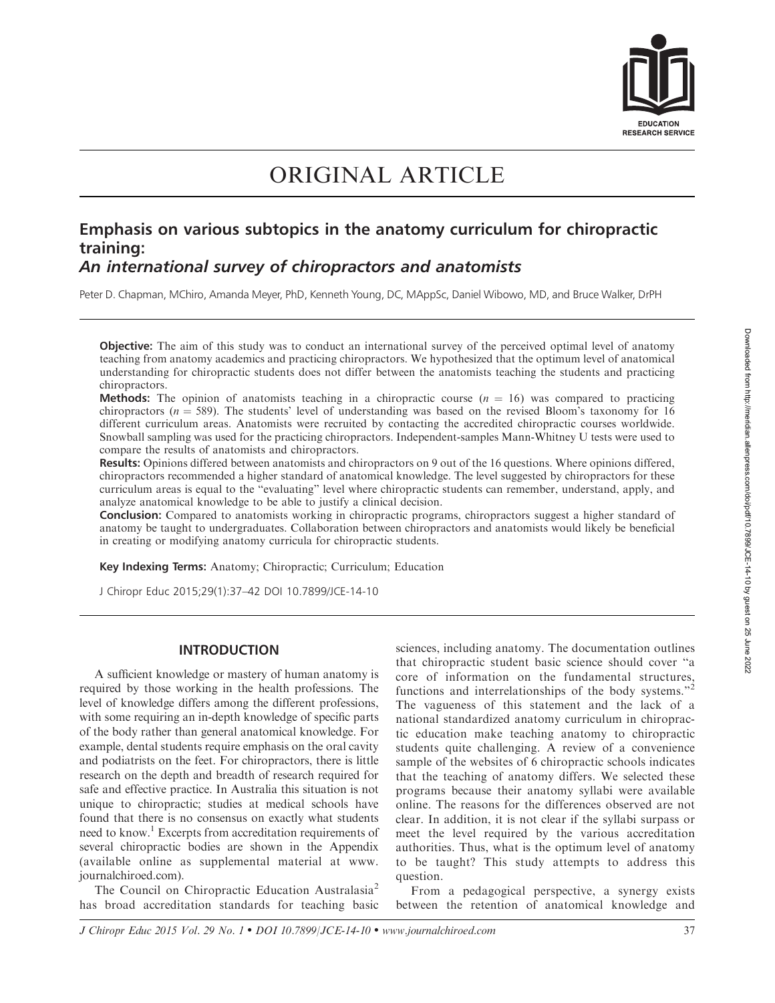

# ORIGINAL ARTICLE

## Emphasis on various subtopics in the anatomy curriculum for chiropractic training: An international survey of chiropractors and anatomists

Peter D. Chapman, MChiro, Amanda Meyer, PhD, Kenneth Young, DC, MAppSc, Daniel Wibowo, MD, and Bruce Walker, DrPH

**Objective:** The aim of this study was to conduct an international survey of the perceived optimal level of anatomy teaching from anatomy academics and practicing chiropractors. We hypothesized that the optimum level of anatomical understanding for chiropractic students does not differ between the anatomists teaching the students and practicing chiropractors.

**Methods:** The opinion of anatomists teaching in a chiropractic course  $(n = 16)$  was compared to practicing chiropractors ( $n = 589$ ). The students' level of understanding was based on the revised Bloom's taxonomy for 16 different curriculum areas. Anatomists were recruited by contacting the accredited chiropractic courses worldwide. Snowball sampling was used for the practicing chiropractors. Independent-samples Mann-Whitney U tests were used to compare the results of anatomists and chiropractors.

Results: Opinions differed between anatomists and chiropractors on 9 out of the 16 questions. Where opinions differed, chiropractors recommended a higher standard of anatomical knowledge. The level suggested by chiropractors for these curriculum areas is equal to the ''evaluating'' level where chiropractic students can remember, understand, apply, and analyze anatomical knowledge to be able to justify a clinical decision.

Conclusion: Compared to anatomists working in chiropractic programs, chiropractors suggest a higher standard of anatomy be taught to undergraduates. Collaboration between chiropractors and anatomists would likely be beneficial in creating or modifying anatomy curricula for chiropractic students.

Key Indexing Terms: Anatomy; Chiropractic; Curriculum; Education

J Chiropr Educ 2015;29(1):37–42 DOI 10.7899/JCE-14-10

#### INTRODUCTION

A sufficient knowledge or mastery of human anatomy is required by those working in the health professions. The level of knowledge differs among the different professions, with some requiring an in-depth knowledge of specific parts of the body rather than general anatomical knowledge. For example, dental students require emphasis on the oral cavity and podiatrists on the feet. For chiropractors, there is little research on the depth and breadth of research required for safe and effective practice. In Australia this situation is not unique to chiropractic; studies at medical schools have found that there is no consensus on exactly what students need to know.<sup>1</sup> Excerpts from accreditation requirements of several chiropractic bodies are shown in the Appendix (available online as supplemental material at www. journalchiroed.com).

The Council on Chiropractic Education Australasia<sup>2</sup> has broad accreditation standards for teaching basic sciences, including anatomy. The documentation outlines that chiropractic student basic science should cover ''a core of information on the fundamental structures, functions and interrelationships of the body systems."<sup>2</sup> The vagueness of this statement and the lack of a national standardized anatomy curriculum in chiropractic education make teaching anatomy to chiropractic students quite challenging. A review of a convenience sample of the websites of 6 chiropractic schools indicates that the teaching of anatomy differs. We selected these programs because their anatomy syllabi were available online. The reasons for the differences observed are not clear. In addition, it is not clear if the syllabi surpass or meet the level required by the various accreditation authorities. Thus, what is the optimum level of anatomy to be taught? This study attempts to address this question.

From a pedagogical perspective, a synergy exists between the retention of anatomical knowledge and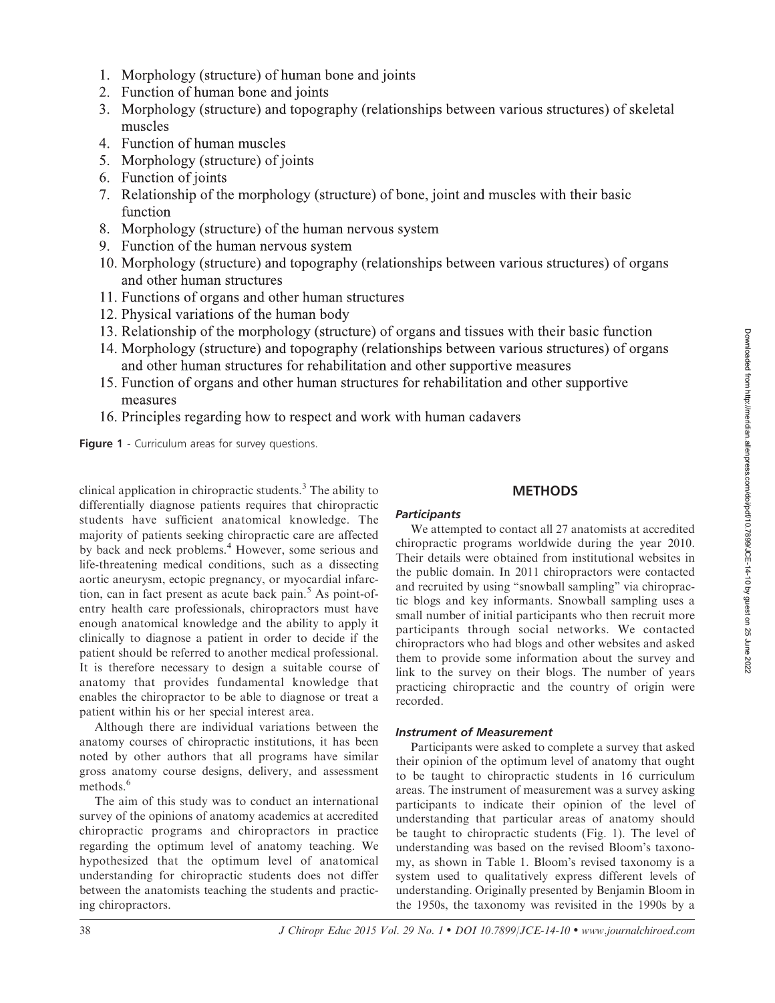- 1. Morphology (structure) of human bone and joints
- 2. Function of human bone and joints
- 3. Morphology (structure) and topography (relationships between various structures) of skeletal muscles
- 4. Function of human muscles
- 5. Morphology (structure) of joints
- 6. Function of joints
- 7. Relationship of the morphology (structure) of bone, joint and muscles with their basic function
- 8. Morphology (structure) of the human nervous system
- 9. Function of the human nervous system
- 10. Morphology (structure) and topography (relationships between various structures) of organs and other human structures
- 11. Functions of organs and other human structures
- 12. Physical variations of the human body
- 13. Relationship of the morphology (structure) of organs and tissues with their basic function
- 14. Morphology (structure) and topography (relationships between various structures) of organs and other human structures for rehabilitation and other supportive measures
- 15. Function of organs and other human structures for rehabilitation and other supportive measures
- 16. Principles regarding how to respect and work with human cadavers

Figure 1 - Curriculum areas for survey questions.

clinical application in chiropractic students. $3$  The ability to differentially diagnose patients requires that chiropractic students have sufficient anatomical knowledge. The majority of patients seeking chiropractic care are affected by back and neck problems.<sup>4</sup> However, some serious and life-threatening medical conditions, such as a dissecting aortic aneurysm, ectopic pregnancy, or myocardial infarction, can in fact present as acute back pain. $5$  As point-ofentry health care professionals, chiropractors must have enough anatomical knowledge and the ability to apply it clinically to diagnose a patient in order to decide if the patient should be referred to another medical professional. It is therefore necessary to design a suitable course of anatomy that provides fundamental knowledge that enables the chiropractor to be able to diagnose or treat a patient within his or her special interest area.

Although there are individual variations between the anatomy courses of chiropractic institutions, it has been noted by other authors that all programs have similar gross anatomy course designs, delivery, and assessment methods.<sup>6</sup>

The aim of this study was to conduct an international survey of the opinions of anatomy academics at accredited chiropractic programs and chiropractors in practice regarding the optimum level of anatomy teaching. We hypothesized that the optimum level of anatomical understanding for chiropractic students does not differ between the anatomists teaching the students and practicing chiropractors.

# **METHODS**

**Participants** 

We attempted to contact all 27 anatomists at accredited chiropractic programs worldwide during the year 2010. Their details were obtained from institutional websites in the public domain. In 2011 chiropractors were contacted and recruited by using ''snowball sampling'' via chiropractic blogs and key informants. Snowball sampling uses a small number of initial participants who then recruit more participants through social networks. We contacted chiropractors who had blogs and other websites and asked them to provide some information about the survey and link to the survey on their blogs. The number of years practicing chiropractic and the country of origin were recorded.

#### Instrument of Measurement

Participants were asked to complete a survey that asked their opinion of the optimum level of anatomy that ought to be taught to chiropractic students in 16 curriculum areas. The instrument of measurement was a survey asking participants to indicate their opinion of the level of understanding that particular areas of anatomy should be taught to chiropractic students (Fig. 1). The level of understanding was based on the revised Bloom's taxonomy, as shown in Table 1. Bloom's revised taxonomy is a system used to qualitatively express different levels of understanding. Originally presented by Benjamin Bloom in the 1950s, the taxonomy was revisited in the 1990s by a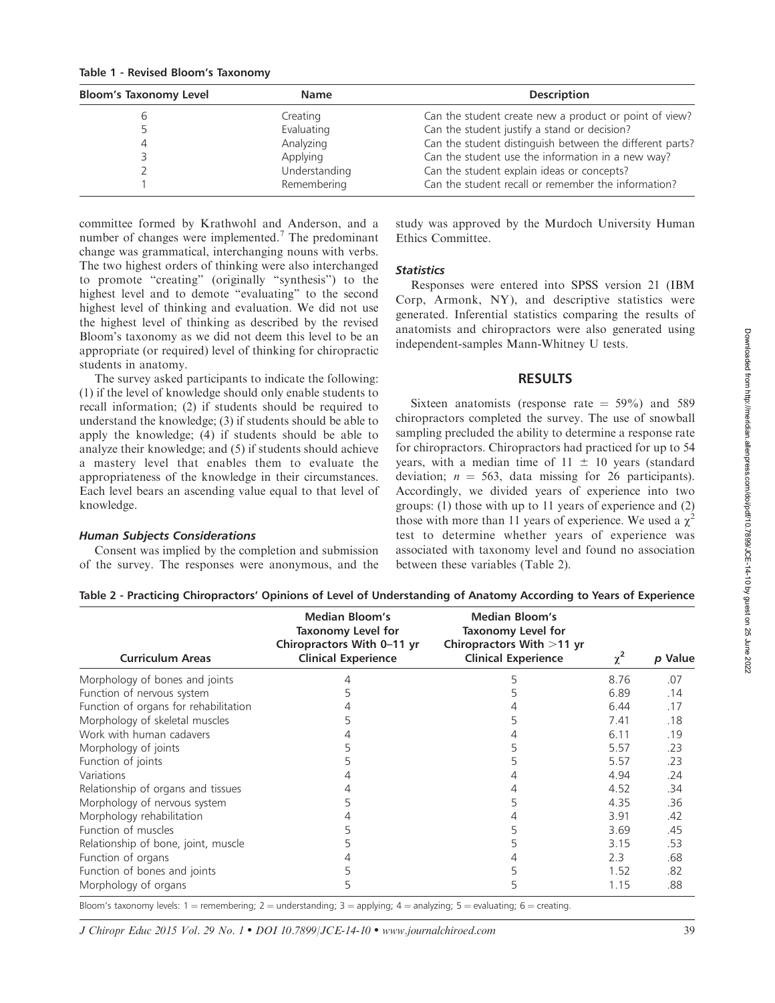| <b>Bloom's Taxonomy Level</b> | <b>Name</b>   | <b>Description</b>                                       |
|-------------------------------|---------------|----------------------------------------------------------|
|                               | Creating      | Can the student create new a product or point of view?   |
|                               | Evaluating    | Can the student justify a stand or decision?             |
|                               | Analyzing     | Can the student distinguish between the different parts? |
|                               | Applying      | Can the student use the information in a new way?        |
|                               | Understanding | Can the student explain ideas or concepts?               |
|                               | Remembering   | Can the student recall or remember the information?      |

committee formed by Krathwohl and Anderson, and a number of changes were implemented.<sup>7</sup> The predominant change was grammatical, interchanging nouns with verbs. The two highest orders of thinking were also interchanged to promote ''creating'' (originally ''synthesis'') to the highest level and to demote ''evaluating'' to the second highest level of thinking and evaluation. We did not use the highest level of thinking as described by the revised Bloom's taxonomy as we did not deem this level to be an appropriate (or required) level of thinking for chiropractic students in anatomy.

The survey asked participants to indicate the following: (1) if the level of knowledge should only enable students to recall information; (2) if students should be required to understand the knowledge; (3) if students should be able to apply the knowledge; (4) if students should be able to analyze their knowledge; and (5) if students should achieve a mastery level that enables them to evaluate the appropriateness of the knowledge in their circumstances. Each level bears an ascending value equal to that level of knowledge.

#### Human Subjects Considerations

Consent was implied by the completion and submission of the survey. The responses were anonymous, and the study was approved by the Murdoch University Human Ethics Committee.

#### **Statistics**

Responses were entered into SPSS version 21 (IBM Corp, Armonk, NY), and descriptive statistics were generated. Inferential statistics comparing the results of anatomists and chiropractors were also generated using independent-samples Mann-Whitney U tests.

#### RESULTS

Sixteen anatomists (response rate  $= 59\%$ ) and 589 chiropractors completed the survey. The use of snowball sampling precluded the ability to determine a response rate for chiropractors. Chiropractors had practiced for up to 54 years, with a median time of  $11 \pm 10$  years (standard deviation;  $n = 563$ , data missing for 26 participants). Accordingly, we divided years of experience into two groups: (1) those with up to 11 years of experience and (2) those with more than 11 years of experience. We used a  $\chi^2$ test to determine whether years of experience was associated with taxonomy level and found no association between these variables (Table 2).

| Table 2 - Practicing Chiropractors' Opinions of Level of Understanding of Anatomy According to Years of Experience |  |  |  |  |
|--------------------------------------------------------------------------------------------------------------------|--|--|--|--|
|--------------------------------------------------------------------------------------------------------------------|--|--|--|--|

| <b>Curriculum Areas</b>               | Median Bloom's<br>Taxonomy Level for<br>Chiropractors With 0-11 yr<br><b>Clinical Experience</b> | <b>Median Bloom's</b><br>Taxonomy Level for<br>Chiropractors With >11 yr<br><b>Clinical Experience</b> | $\chi^2$ | p Value |
|---------------------------------------|--------------------------------------------------------------------------------------------------|--------------------------------------------------------------------------------------------------------|----------|---------|
| Morphology of bones and joints        |                                                                                                  | 5                                                                                                      | 8.76     | .07     |
| Function of nervous system            |                                                                                                  |                                                                                                        | 6.89     | .14     |
| Function of organs for rehabilitation |                                                                                                  |                                                                                                        | 6.44     | .17     |
| Morphology of skeletal muscles        | 5                                                                                                |                                                                                                        | 7.41     | .18     |
| Work with human cadavers              |                                                                                                  |                                                                                                        | 6.11     | .19     |
| Morphology of joints                  |                                                                                                  |                                                                                                        | 5.57     | .23     |
| Function of joints                    | 5                                                                                                |                                                                                                        | 5.57     | .23     |
| Variations                            |                                                                                                  |                                                                                                        | 4.94     | .24     |
| Relationship of organs and tissues    |                                                                                                  |                                                                                                        | 4.52     | .34     |
| Morphology of nervous system          |                                                                                                  |                                                                                                        | 4.35     | .36     |
| Morphology rehabilitation             |                                                                                                  |                                                                                                        | 3.91     | .42     |
| Function of muscles                   |                                                                                                  | 5                                                                                                      | 3.69     | .45     |
| Relationship of bone, joint, muscle   |                                                                                                  | 5                                                                                                      | 3.15     | .53     |
| Function of organs                    |                                                                                                  |                                                                                                        | 2.3      | .68     |
| Function of bones and joints          |                                                                                                  |                                                                                                        | 1.52     | .82     |
| Morphology of organs                  | 5                                                                                                | 5                                                                                                      | 1.15     | .88     |

Bloom's taxonomy levels: 1 = remembering; 2 = understanding; 3 = applying; 4 = analyzing; 5 = evaluating; 6 = creating.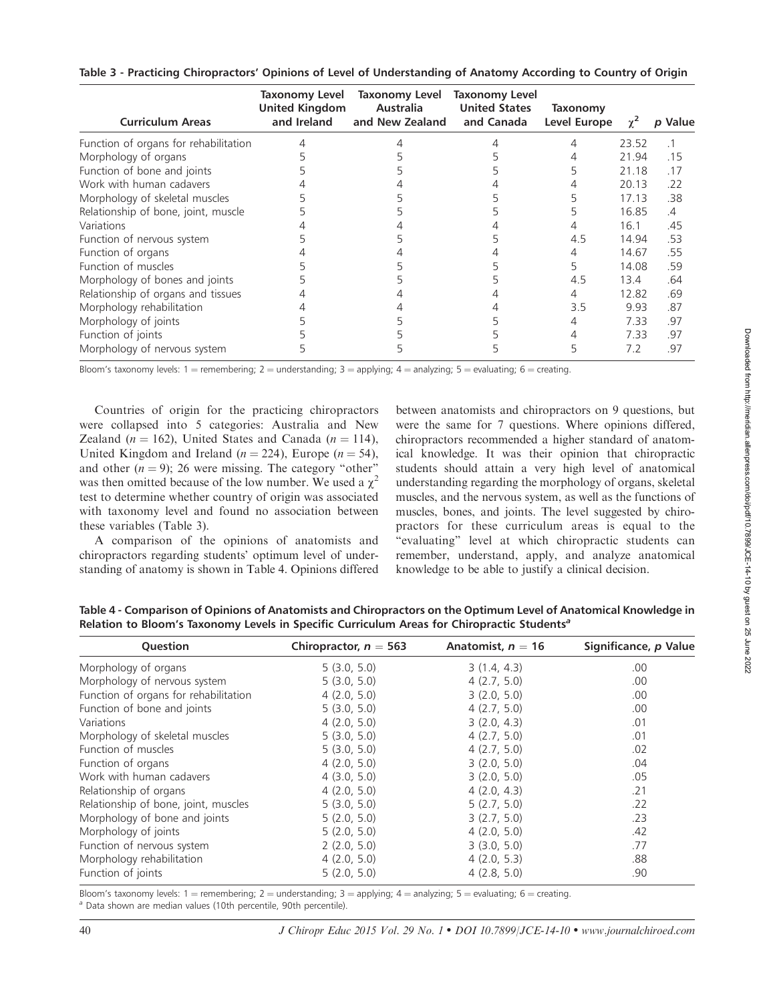| <b>Curriculum Areas</b>               | Taxonomy Level<br><b>United Kingdom</b><br>and Ireland | Taxonomy Level<br><b>Australia</b><br>and New Zealand | <b>Taxonomy Level</b><br><b>United States</b><br>and Canada | Taxonomy<br>Level Europe | $\gamma^2$ | p Value       |
|---------------------------------------|--------------------------------------------------------|-------------------------------------------------------|-------------------------------------------------------------|--------------------------|------------|---------------|
| Function of organs for rehabilitation |                                                        |                                                       |                                                             |                          | 23.52      |               |
| Morphology of organs                  |                                                        |                                                       |                                                             |                          | 21.94      | .15           |
| Function of bone and joints           |                                                        |                                                       |                                                             |                          | 21.18      | .17           |
| Work with human cadavers              |                                                        |                                                       |                                                             |                          | 20.13      | .22           |
| Morphology of skeletal muscles        |                                                        |                                                       |                                                             |                          | 17.13      | .38           |
| Relationship of bone, joint, muscle   |                                                        |                                                       |                                                             |                          | 16.85      | $\mathcal{A}$ |
| Variations                            |                                                        |                                                       |                                                             | 4                        | 16.1       | .45           |
| Function of nervous system            |                                                        |                                                       |                                                             | 4.5                      | 14.94      | .53           |
| Function of organs                    |                                                        |                                                       |                                                             | 4                        | 14.67      | .55           |
| Function of muscles                   |                                                        |                                                       |                                                             | 5                        | 14.08      | .59           |
| Morphology of bones and joints        |                                                        |                                                       |                                                             | 4.5                      | 13.4       | .64           |
| Relationship of organs and tissues    |                                                        |                                                       |                                                             | 4                        | 12.82      | .69           |
| Morphology rehabilitation             |                                                        |                                                       |                                                             | 3.5                      | 9.93       | .87           |
| Morphology of joints                  |                                                        |                                                       |                                                             |                          | 7.33       | .97           |
| Function of joints                    |                                                        |                                                       |                                                             | 4                        | 7.33       | .97           |
| Morphology of nervous system          |                                                        |                                                       |                                                             | 5                        | 7.2        | .97           |

Table 3 - Practicing Chiropractors' Opinions of Level of Understanding of Anatomy According to Country of Origin

Bloom's taxonomy levels: 1 = remembering; 2 = understanding; 3 = applying; 4 = analyzing; 5 = evaluating; 6 = creating.

Countries of origin for the practicing chiropractors were collapsed into 5 categories: Australia and New Zealand ( $n = 162$ ), United States and Canada ( $n = 114$ ), United Kingdom and Ireland ( $n = 224$ ), Europe ( $n = 54$ ), and other  $(n = 9)$ ; 26 were missing. The category "other" was then omitted because of the low number. We used a  $\chi^2$ test to determine whether country of origin was associated with taxonomy level and found no association between these variables (Table 3).

A comparison of the opinions of anatomists and chiropractors regarding students' optimum level of understanding of anatomy is shown in Table 4. Opinions differed between anatomists and chiropractors on 9 questions, but were the same for 7 questions. Where opinions differed, chiropractors recommended a higher standard of anatomical knowledge. It was their opinion that chiropractic students should attain a very high level of anatomical understanding regarding the morphology of organs, skeletal muscles, and the nervous system, as well as the functions of muscles, bones, and joints. The level suggested by chiropractors for these curriculum areas is equal to the "evaluating" level at which chiropractic students can remember, understand, apply, and analyze anatomical knowledge to be able to justify a clinical decision.

| Question                              | Chiropractor, $n = 563$ | Anatomist, $n = 16$ | Significance, p Value |
|---------------------------------------|-------------------------|---------------------|-----------------------|
| Morphology of organs                  | 5(3.0, 5.0)             | 3(1.4, 4.3)         | .00                   |
| Morphology of nervous system          | 5(3.0, 5.0)             | 4(2.7, 5.0)         | .00.                  |
| Function of organs for rehabilitation | 4(2.0, 5.0)             | 3(2.0, 5.0)         | .00.                  |
| Function of bone and joints           | 5(3.0, 5.0)             | 4(2.7, 5.0)         | .00                   |
| Variations                            | 4(2.0, 5.0)             | 3(2.0, 4.3)         | .01                   |
| Morphology of skeletal muscles        | 5(3.0, 5.0)             | 4(2.7, 5.0)         | .01                   |
| Function of muscles                   | 5(3.0, 5.0)             | 4(2.7, 5.0)         | .02                   |
| Function of organs                    | 4(2.0, 5.0)             | 3(2.0, 5.0)         | .04                   |
| Work with human cadavers              | 4(3.0, 5.0)             | 3(2.0, 5.0)         | .05                   |
| Relationship of organs                | 4(2.0, 5.0)             | 4(2.0, 4.3)         | .21                   |
| Relationship of bone, joint, muscles  | 5(3.0, 5.0)             | 5(2.7, 5.0)         | .22                   |
| Morphology of bone and joints         | 5(2.0, 5.0)             | 3(2.7, 5.0)         | .23                   |
| Morphology of joints                  | 5(2.0, 5.0)             | 4(2.0, 5.0)         | .42                   |
| Function of nervous system            | 2(2.0, 5.0)             | 3(3.0, 5.0)         | .77                   |
| Morphology rehabilitation             | 4(2.0, 5.0)             | 4(2.0, 5.3)         | .88                   |
| Function of joints                    | 5(2.0, 5.0)             | 4(2.8, 5.0)         | .90                   |

Table 4 - Comparison of Opinions of Anatomists and Chiropractors on the Optimum Level of Anatomical Knowledge in Relation to Bloom's Taxonomy Levels in Specific Curriculum Areas for Chiropractic Students<sup>a</sup>

Bloom's taxonomy levels: 1 = remembering; 2 = understanding; 3 = applying; 4 = analyzing; 5 = evaluating; 6 = creating.<br><sup>a</sup> Data shown are median values (10th percentile, 90th percentile).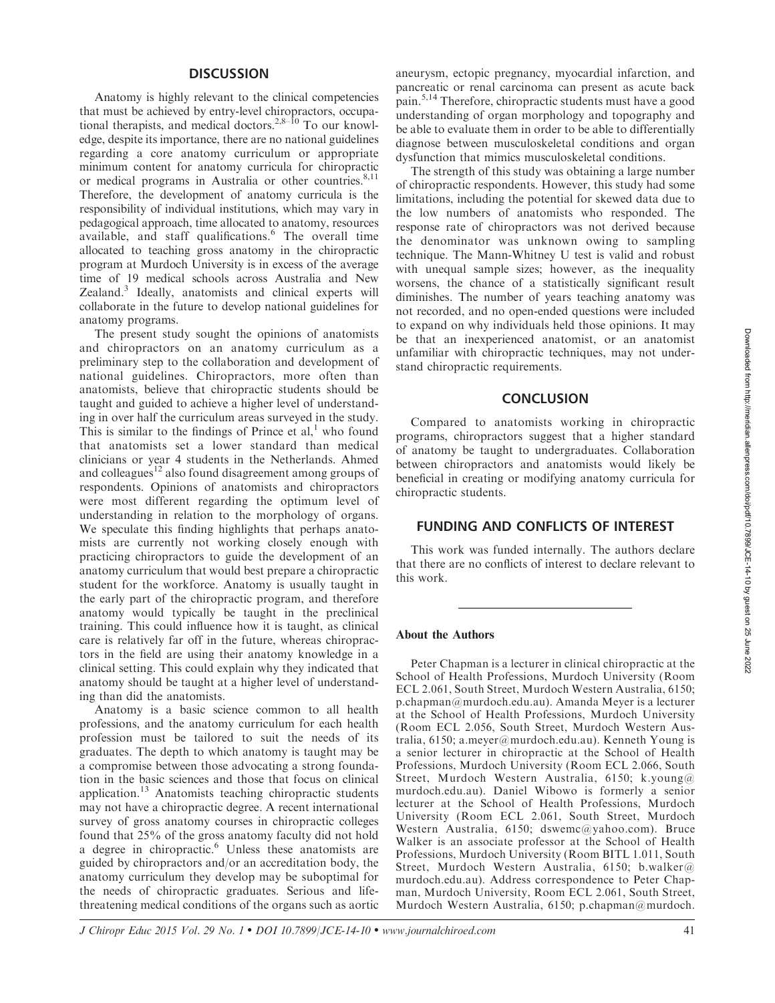#### **DISCUSSION**

Anatomy is highly relevant to the clinical competencies that must be achieved by entry-level chiropractors, occupational therapists, and medical doctors.<sup>2,8–10</sup> To our knowledge, despite its importance, there are no national guidelines regarding a core anatomy curriculum or appropriate minimum content for anatomy curricula for chiropractic or medical programs in Australia or other countries.<sup>8,11</sup> Therefore, the development of anatomy curricula is the responsibility of individual institutions, which may vary in pedagogical approach, time allocated to anatomy, resources available, and staff qualifications.<sup>6</sup> The overall time allocated to teaching gross anatomy in the chiropractic program at Murdoch University is in excess of the average time of 19 medical schools across Australia and New Zealand.<sup>3</sup> Ideally, anatomists and clinical experts will collaborate in the future to develop national guidelines for anatomy programs.

The present study sought the opinions of anatomists and chiropractors on an anatomy curriculum as a preliminary step to the collaboration and development of national guidelines. Chiropractors, more often than anatomists, believe that chiropractic students should be taught and guided to achieve a higher level of understanding in over half the curriculum areas surveyed in the study. This is similar to the findings of Prince et al, $<sup>1</sup>$  who found</sup> that anatomists set a lower standard than medical clinicians or year 4 students in the Netherlands. Ahmed and colleagues<sup>12</sup> also found disagreement among groups of respondents. Opinions of anatomists and chiropractors were most different regarding the optimum level of understanding in relation to the morphology of organs. We speculate this finding highlights that perhaps anatomists are currently not working closely enough with practicing chiropractors to guide the development of an anatomy curriculum that would best prepare a chiropractic student for the workforce. Anatomy is usually taught in the early part of the chiropractic program, and therefore anatomy would typically be taught in the preclinical training. This could influence how it is taught, as clinical care is relatively far off in the future, whereas chiropractors in the field are using their anatomy knowledge in a clinical setting. This could explain why they indicated that anatomy should be taught at a higher level of understanding than did the anatomists.

Anatomy is a basic science common to all health professions, and the anatomy curriculum for each health profession must be tailored to suit the needs of its graduates. The depth to which anatomy is taught may be a compromise between those advocating a strong foundation in the basic sciences and those that focus on clinical application.<sup>13</sup> Anatomists teaching chiropractic students may not have a chiropractic degree. A recent international survey of gross anatomy courses in chiropractic colleges found that 25% of the gross anatomy faculty did not hold a degree in chiropractic.<sup>6</sup> Unless these anatomists are guided by chiropractors and/or an accreditation body, the anatomy curriculum they develop may be suboptimal for the needs of chiropractic graduates. Serious and lifethreatening medical conditions of the organs such as aortic aneurysm, ectopic pregnancy, myocardial infarction, and pancreatic or renal carcinoma can present as acute back pain.5,14 Therefore, chiropractic students must have a good understanding of organ morphology and topography and be able to evaluate them in order to be able to differentially diagnose between musculoskeletal conditions and organ dysfunction that mimics musculoskeletal conditions.

The strength of this study was obtaining a large number of chiropractic respondents. However, this study had some limitations, including the potential for skewed data due to the low numbers of anatomists who responded. The response rate of chiropractors was not derived because the denominator was unknown owing to sampling technique. The Mann-Whitney U test is valid and robust with unequal sample sizes; however, as the inequality worsens, the chance of a statistically significant result diminishes. The number of years teaching anatomy was not recorded, and no open-ended questions were included to expand on why individuals held those opinions. It may be that an inexperienced anatomist, or an anatomist unfamiliar with chiropractic techniques, may not understand chiropractic requirements.

#### **CONCLUSION**

Compared to anatomists working in chiropractic programs, chiropractors suggest that a higher standard of anatomy be taught to undergraduates. Collaboration between chiropractors and anatomists would likely be beneficial in creating or modifying anatomy curricula for chiropractic students.

#### FUNDING AND CONFLICTS OF INTEREST

This work was funded internally. The authors declare that there are no conflicts of interest to declare relevant to this work.

#### About the Authors

Peter Chapman is a lecturer in clinical chiropractic at the School of Health Professions, Murdoch University (Room ECL 2.061, South Street, Murdoch Western Australia, 6150; p.chapman@murdoch.edu.au). Amanda Meyer is a lecturer at the School of Health Professions, Murdoch University (Room ECL 2.056, South Street, Murdoch Western Australia, 6150; a.meyer@murdoch.edu.au). Kenneth Young is a senior lecturer in chiropractic at the School of Health Professions, Murdoch University (Room ECL 2.066, South Street, Murdoch Western Australia, 6150; k.young@ murdoch.edu.au). Daniel Wibowo is formerly a senior lecturer at the School of Health Professions, Murdoch University (Room ECL 2.061, South Street, Murdoch Western Australia, 6150; dswemc@yahoo.com). Bruce Walker is an associate professor at the School of Health Professions, Murdoch University (Room BITL 1.011, South Street, Murdoch Western Australia, 6150; b.walker@ murdoch.edu.au). Address correspondence to Peter Chapman, Murdoch University, Room ECL 2.061, South Street, Murdoch Western Australia, 6150; p.chapman@murdoch.

Downloaded from http://meridian.allenpress.com/doi/pdf/10.7899/JCE-14-10 by guest on 25 June 2022